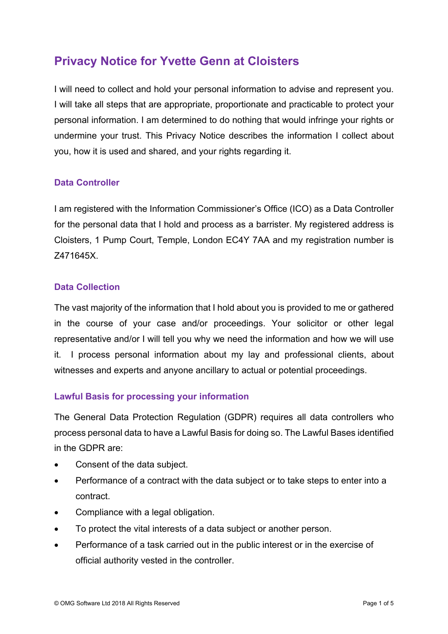# **Privacy Notice for Yvette Genn at Cloisters**

I will need to collect and hold your personal information to advise and represent you. I will take all steps that are appropriate, proportionate and practicable to protect your personal information. I am determined to do nothing that would infringe your rights or undermine your trust. This Privacy Notice describes the information I collect about you, how it is used and shared, and your rights regarding it.

### **Data Controller**

I am registered with the Information Commissioner's Office (ICO) as a Data Controller for the personal data that I hold and process as a barrister. My registered address is Cloisters, 1 Pump Court, Temple, London EC4Y 7AA and my registration number is Z471645X.

### **Data Collection**

The vast majority of the information that I hold about you is provided to me or gathered in the course of your case and/or proceedings. Your solicitor or other legal representative and/or I will tell you why we need the information and how we will use it. I process personal information about my lay and professional clients, about witnesses and experts and anyone ancillary to actual or potential proceedings.

### **Lawful Basis for processing your information**

The General Data Protection Regulation (GDPR) requires all data controllers who process personal data to have a Lawful Basis for doing so. The Lawful Bases identified in the GDPR are:

- Consent of the data subject.
- Performance of a contract with the data subject or to take steps to enter into a contract.
- Compliance with a legal obligation.
- To protect the vital interests of a data subject or another person.
- Performance of a task carried out in the public interest or in the exercise of official authority vested in the controller.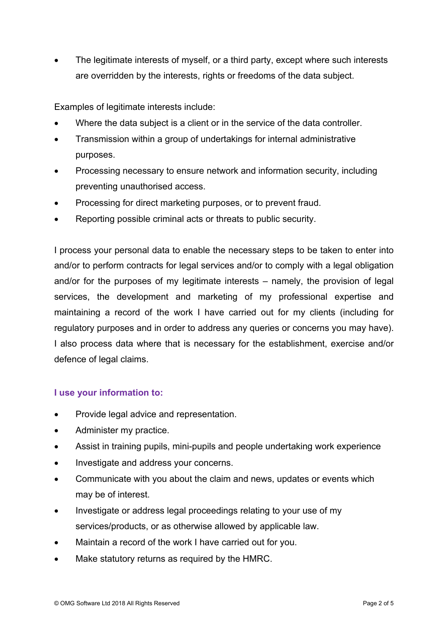The legitimate interests of myself, or a third party, except where such interests are overridden by the interests, rights or freedoms of the data subject.

Examples of legitimate interests include:

- Where the data subject is a client or in the service of the data controller.
- Transmission within a group of undertakings for internal administrative purposes.
- Processing necessary to ensure network and information security, including preventing unauthorised access.
- Processing for direct marketing purposes, or to prevent fraud.
- Reporting possible criminal acts or threats to public security.

I process your personal data to enable the necessary steps to be taken to enter into and/or to perform contracts for legal services and/or to comply with a legal obligation and/or for the purposes of my legitimate interests – namely, the provision of legal services, the development and marketing of my professional expertise and maintaining a record of the work I have carried out for my clients (including for regulatory purposes and in order to address any queries or concerns you may have). I also process data where that is necessary for the establishment, exercise and/or defence of legal claims.

### **I use your information to:**

- Provide legal advice and representation.
- Administer my practice.
- Assist in training pupils, mini-pupils and people undertaking work experience
- Investigate and address your concerns.
- Communicate with you about the claim and news, updates or events which may be of interest.
- Investigate or address legal proceedings relating to your use of my services/products, or as otherwise allowed by applicable law.
- Maintain a record of the work I have carried out for you.
- Make statutory returns as required by the HMRC.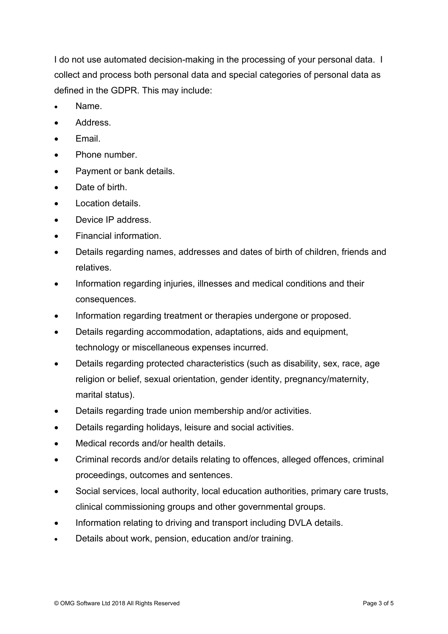I do not use automated decision-making in the processing of your personal data. I collect and process both personal data and special categories of personal data as defined in the GDPR. This may include:

- Name.
- Address.
- Fmail
- Phone number.
- Payment or bank details.
- Date of birth.
- Location details.
- Device IP address.
- Financial information.
- Details regarding names, addresses and dates of birth of children, friends and relatives.
- Information regarding injuries, illnesses and medical conditions and their consequences.
- Information regarding treatment or therapies undergone or proposed.
- Details regarding accommodation, adaptations, aids and equipment, technology or miscellaneous expenses incurred.
- Details regarding protected characteristics (such as disability, sex, race, age religion or belief, sexual orientation, gender identity, pregnancy/maternity, marital status).
- Details regarding trade union membership and/or activities.
- Details regarding holidays, leisure and social activities.
- Medical records and/or health details.
- Criminal records and/or details relating to offences, alleged offences, criminal proceedings, outcomes and sentences.
- Social services, local authority, local education authorities, primary care trusts, clinical commissioning groups and other governmental groups.
- Information relating to driving and transport including DVLA details.
- Details about work, pension, education and/or training.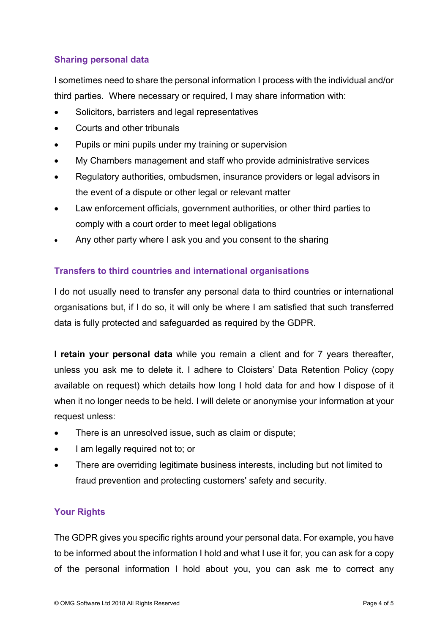## **Sharing personal data**

I sometimes need to share the personal information I process with the individual and/or third parties. Where necessary or required, I may share information with:

- Solicitors, barristers and legal representatives
- Courts and other tribunals
- Pupils or mini pupils under my training or supervision
- My Chambers management and staff who provide administrative services
- Regulatory authorities, ombudsmen, insurance providers or legal advisors in the event of a dispute or other legal or relevant matter
- Law enforcement officials, government authorities, or other third parties to comply with a court order to meet legal obligations
- Any other party where I ask you and you consent to the sharing

### **Transfers to third countries and international organisations**

I do not usually need to transfer any personal data to third countries or international organisations but, if I do so, it will only be where I am satisfied that such transferred data is fully protected and safeguarded as required by the GDPR.

**I retain your personal data** while you remain a client and for 7 years thereafter, unless you ask me to delete it. I adhere to Cloisters' Data Retention Policy (copy available on request) which details how long I hold data for and how I dispose of it when it no longer needs to be held. I will delete or anonymise your information at your request unless:

- There is an unresolved issue, such as claim or dispute;
- I am legally required not to; or
- There are overriding legitimate business interests, including but not limited to fraud prevention and protecting customers' safety and security.

### **Your Rights**

The GDPR gives you specific rights around your personal data. For example, you have to be informed about the information I hold and what I use it for, you can ask for a copy of the personal information I hold about you, you can ask me to correct any